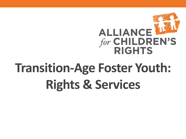

# **Transition-Age Foster Youth: Rights & Services**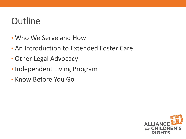# **Outline**

- Who We Serve and How
- An Introduction to Extended Foster Care
- Other Legal Advocacy
- Independent Living Program
- Know Before You Go

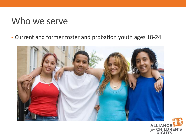#### Who we serve

• Current and former foster and probation youth ages 18-24



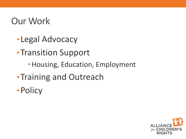# Our Work

- •Legal Advocacy
- •Transition Support
	- •Housing, Education, Employment
- •Training and Outreach
- •Policy

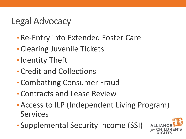# Legal Advocacy

- Re-Entry into Extended Foster Care
- Clearing Juvenile Tickets
- •Identity Theft
- Credit and Collections
- Combatting Consumer Fraud
- Contracts and Lease Review
- •Access to ILP (Independent Living Program) Services
- Supplemental Security Income (SSI)

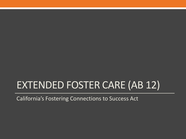# EXTENDED FOSTER CARE (AB 12)

California's Fostering Connections to Success Act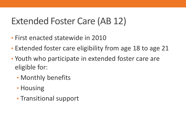# Extended Foster Care (AB 12)

- First enacted statewide in 2010
- Extended foster care eligibility from age 18 to age 21
- Youth who participate in extended foster care are eligible for:
	- Monthly benefits
	- Housing
	- Transitional support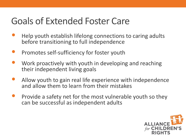# Goals of Extended Foster Care

- Help youth establish lifelong connections to caring adults before transitioning to full independence
- Promotes self-sufficiency for foster youth
- Work proactively with youth in developing and reaching their independent living goals
- Allow youth to gain real life experience with independence and allow them to learn from their mistakes
- Provide a safety net for the most vulnerable youth so they can be successful as independent adults

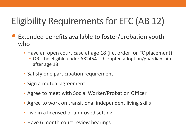# Eligibility Requirements for EFC (AB 12)

- Extended benefits available to foster/probation youth who
	- Have an open court case at age 18 (i.e. order for FC placement)
		- OR be eligible under AB2454 disrupted adoption/guardianship after age 18
	- Satisfy one participation requirement
	- Sign a mutual agreement
	- Agree to meet with Social Worker/Probation Officer
	- Agree to work on transitional independent living skills
	- Live in a licensed or approved setting
	- Have 6 month court review hearings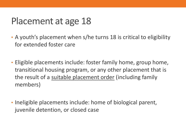# Placement at age 18

- A youth's placement when s/he turns 18 is critical to eligibility for extended foster care
- Eligible placements include: foster family home, group home, transitional housing program, or any other placement that is the result of a suitable placement order (including family members)
- Ineligible placements include: home of biological parent, juvenile detention, or closed case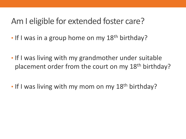#### Am I eligible for extended foster care?

- If I was in a group home on my 18<sup>th</sup> birthday?
- If I was living with my grandmother under suitable placement order from the court on my 18<sup>th</sup> birthday?
- If I was living with my mom on my 18<sup>th</sup> birthday?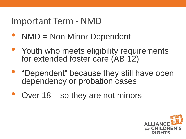#### Important Term - NMD

- NMD = Non Minor Dependent
- Youth who meets eligibility requirements for extended foster care (AB 12)
- "Dependent" because they still have open dependency or probation cases
- Over 18 so they are not minors

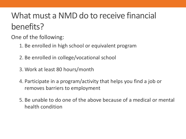# What must a NMD do to receive financial benefits?

One of the following:

- 1. Be enrolled in high school or equivalent program
- 2. Be enrolled in college/vocational school
- 3. Work at least 80 hours/month
- 4. Participate in a program/activity that helps you find a job or removes barriers to employment
- 5. Be unable to do one of the above because of a medical or mental health condition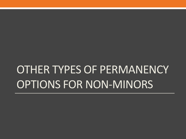# OTHER TYPES OF PERMANENCY OPTIONS FOR NON-MINORS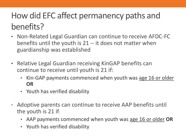# How did EFC affect permanency paths and benefits?

- Non-Related Legal Guardian can continue to receive AFDC-FC benefits until the youth is 21 -- it does not matter when guardianship was established
- Relative Legal Guardian receiving KinGAP benefits can continue to receive until youth is 21 if:
	- Kin-GAP payments commenced when youth was age 16 or older **OR**
	- Youth has verified disability
- Adoptive parents can continue to receive AAP benefits until the youth is 21 if:
	- AAP payments commenced when youth was age 16 or older **OR**
	- Youth has verified disability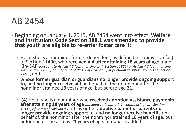#### AB 2454

- Beginning on January 1, 2015, AB 2454 went into effect. **Welfare and Institutions Code Section 388.1 was amended to provide that youth are eligible to re-enter foster care if:**
	- He or she is a nonminor former dependent, as defined in subdivision (aa) of Section 11400, who **received aid after attaining 18 years of age** under Kin-GAP *pursuant to Article 4.5 (commencing with Section 11360) or Article 4.7 (commencing with Section 11385) of Chapter 2 of Part 3 of Division 9, or pursuant to subdivision (e) of Section 11405,* and
	- **whose former guardian or guardians no longer provide ongoing support to**, and **no longer receive aid** on behalf of, the nonminor after the nonminor attained 18 years of age, but before age 21…
	- (4) He or she is a nonminor who **received adoption assistance payments after attaining 18 years** of age *pursuant to Chapter 2.1 (commencing with Section 16115) of Part 4 of Division 9* and his or her **adoptive parent or parents no longer provide ongoing support** to, and **no longer receive benefits** on behalf of, the nonminor after the nonminor attained 18 years of age, but before he or she attains 21 years of age. (emphasis added)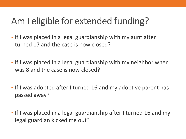# Am I eligible for extended funding?

- If I was placed in a legal guardianship with my aunt after I turned 17 and the case is now closed?
- If I was placed in a legal guardianship with my neighbor when I was 8 and the case is now closed?
- If I was adopted after I turned 16 and my adoptive parent has passed away?
- If I was placed in a legal guardianship after I turned 16 and my legal guardian kicked me out?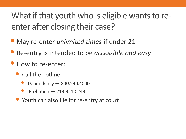What if that youth who is eligible wants to reenter after closing their case?

- May re-enter *unlimited times* if under 21
- Re-entry is intended to be *accessible and easy*
- How to re-enter:
	- Call the hotline
		- Dependency 800.540.4000
		- Probation 213.351.0243
	- Youth can also file for re-entry at court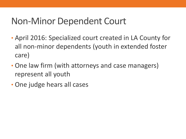# Non-Minor Dependent Court

- April 2016: Specialized court created in LA County for all non-minor dependents (youth in extended foster care)
- One law firm (with attorneys and case managers) represent all youth
- One judge hears all cases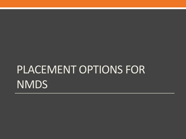# PLACEMENT OPTIONS FOR **NMDS**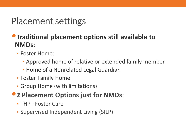# Placement settings

#### •**Traditional placement options still available to NMDs**:

- Foster Home:
	- Approved home of relative or extended family member
	- Home of a Nonrelated Legal Guardian
- Foster Family Home
- Group Home (with limitations)

#### •**2 Placement Options just for NMDs**:

- THP+ Foster Care
- Supervised Independent Living (SILP)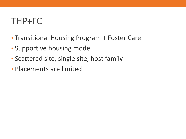#### THP+FC

- Transitional Housing Program + Foster Care
- Supportive housing model
- Scattered site, single site, host family
- Placements are limited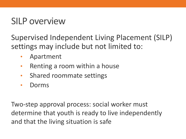### SILP overview

Supervised Independent Living Placement (SILP) settings may include but not limited to:

- Apartment
- Renting a room within a house
- Shared roommate settings
- Dorms

Two-step approval process: social worker must determine that youth is ready to live independently and that the living situation is safe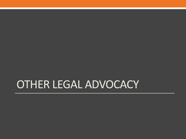# OTHER LEGAL ADVOCACY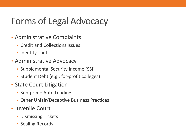# Forms of Legal Advocacy

- Administrative Complaints
	- Credit and Collections Issues
	- Identity Theft
- Administrative Advocacy
	- Supplemental Security Income (SSI)
	- Student Debt (e.g., for-profit colleges)
- State Court Litigation
	- Sub-prime Auto Lending
	- Other Unfair/Deceptive Business Practices
- Juvenile Court
	- Dismissing Tickets
	- Sealing Records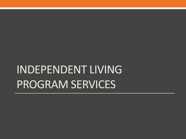# INDEPENDENT LIVING PROGRAM SERVICES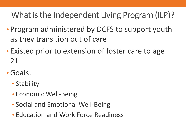What is the Independent Living Program (ILP)?

- Program administered by DCFS to support youth as they transition out of care
- Existed prior to extension of foster care to age 21
- •Goals:
	- Stability
	- Economic Well-Being
	- Social and Emotional Well-Being
	- Education and Work Force Readiness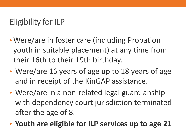#### Eligibility for ILP

- Were/are in foster care (including Probation youth in suitable placement) at any time from their 16th to their 19th birthday.
- Were/are 16 years of age up to 18 years of age and in receipt of the KinGAP assistance.
- Were/are in a non-related legal guardianship with dependency court jurisdiction terminated after the age of 8.
- **Youth are eligible for ILP services up to age 21**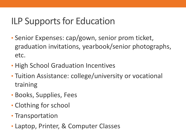# ILP Supports for Education

- Senior Expenses: cap/gown, senior prom ticket, graduation invitations, yearbook/senior photographs, etc.
- High School Graduation Incentives
- Tuition Assistance: college/university or vocational training
- Books, Supplies, Fees
- Clothing for school
- Transportation
- Laptop, Printer, & Computer Classes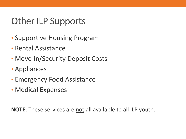# Other ILP Supports

- Supportive Housing Program
- Rental Assistance
- Move-in/Security Deposit Costs
- Appliances
- Emergency Food Assistance
- Medical Expenses

**NOTE**: These services are not all available to all ILP youth.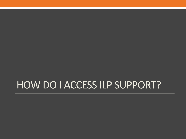# HOW DO I ACCESS ILP SUPPORT?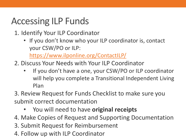# Accessing ILP Funds

- 1. Identify Your ILP Coordinator
	- If you don't know who your ILP coordinator is, contact your CSW/PO or ILP:

<https://www.ilponline.org/ContactILP/>

- 2. Discuss Your Needs with Your ILP Coordinator
	- If you don't have a one, your CSW/PO or ILP coordinator will help you complete a Transitional Independent Living Plan
- 3. Review Request for Funds Checklist to make sure you submit correct documentation
	- You will need to have **original receipts**
- 4. Make Copies of Request and Supporting Documentation
- 3. Submit Request for Reimbursement
- 4. Follow up with ILP Coordinator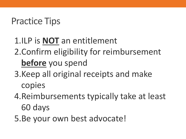# Practice Tips

# 1.ILP is **NOT** an entitlement 2.Confirm eligibility for reimbursement **before** you spend

- 3.Keep all original receipts and make copies
- 4.Reimbursements typically take at least 60 days
- 5.Be your own best advocate!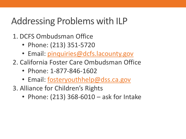# Addressing Problems with ILP

- 1. DCFS Ombudsman Office
	- Phone: (213) 351-5720
	- Email: [pinquiries@dcfs.lacounty.gov](mailto:pinquiries@dcfs.lacounty.gov)
- 2. California Foster Care Ombudsman Office
	- Phone: 1-877-846-1602
	- Email: [fosteryouthhelp@dss.ca.gov](mailto:fosteryouthhelp@dss.ca.gov)
- 3. Alliance for Children's Rights
	- Phone: (213) 368-6010 ask for Intake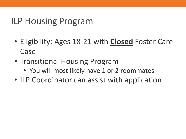# ILP Housing Program

- Eligibility: Ages 18-21 with **Closed** Foster Care Case
- Transitional Housing Program
	- You will most likely have 1 or 2 roommates
- ILP Coordinator can assist with application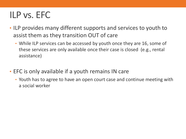# ILP vs. EFC

- ILP provides many different supports and services to youth to assist them as they transition OUT of care
	- While ILP services can be accessed by youth once they are 16, some of these services are only available once their case is closed (e.g., rental assistance)
- EFC is only available if a youth remains IN care
	- Youth has to agree to have an open court case and continue meeting with a social worker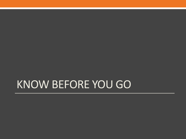# KNOW BEFORE YOU GO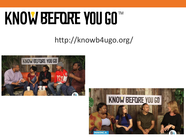# KNOW BEFORE YOU GO™

#### http://knowb4ugo.org/